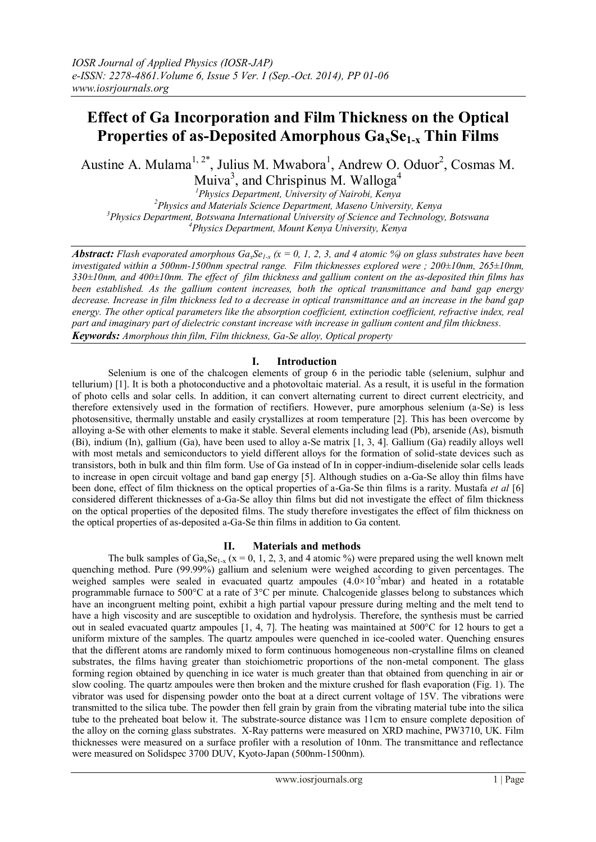# **Effect of Ga Incorporation and Film Thickness on the Optical Properties of as-Deposited Amorphous GaxSe1-x Thin Films**

Austine A. Mulama<sup>1, 2\*</sup>, Julius M. Mwabora<sup>1</sup>, Andrew O. Oduor<sup>2</sup>, Cosmas M. Muiva<sup>3</sup>, and Chrispinus M. Walloga<sup>4</sup>

*Physics Department, University of Nairobi, Kenya Physics and Materials Science Department, Maseno University, Kenya Physics Department, Botswana International University of Science and Technology, Botswana Physics Department, Mount Kenya University, Kenya*

*Abstract: Flash evaporated amorphous*  $Ga_xSe_{1-x}$  *(x = 0, 1, 2, 3, and 4 atomic %) on glass substrates have been investigated within a 500nm-1500nm spectral range. Film thicknesses explored were ; 200±10nm, 265±10nm, 330±10nm, and 400±10nm. The effect of film thickness and gallium content on the as-deposited thin films has been established. As the gallium content increases, both the optical transmittance and band gap energy decrease. Increase in film thickness led to a decrease in optical transmittance and an increase in the band gap energy. The other optical parameters like the absorption coefficient, extinction coefficient, refractive index, real part and imaginary part of dielectric constant increase with increase in gallium content and film thickness. Keywords: Amorphous thin film, Film thickness, Ga-Se alloy, Optical property*

### **I. Introduction**

Selenium is one of the chalcogen elements of group 6 in the periodic table (selenium, sulphur and tellurium) [1]. It is both a photoconductive and a photovoltaic material. As a result, it is useful in the formation of photo cells and solar cells. In addition, it can convert alternating current to direct current electricity, and therefore extensively used in the formation of rectifiers. However, pure amorphous selenium (a-Se) is less photosensitive, thermally unstable and easily crystallizes at room temperature [2]. This has been overcome by alloying a-Se with other elements to make it stable. Several elements including lead (Pb), arsenide (As), bismuth (Bi), indium (In), gallium (Ga), have been used to alloy a-Se matrix [1, 3, 4]. Gallium (Ga) readily alloys well with most metals and semiconductors to yield different alloys for the formation of solid-state devices such as transistors, both in bulk and thin film form. Use of Ga instead of In in copper-indium-diselenide solar cells leads to increase in open circuit voltage and band gap energy [5]. Although studies on a-Ga-Se alloy thin films have been done, effect of film thickness on the optical properties of a-Ga-Se thin films is a rarity. Mustafa *et al* [6] considered different thicknesses of a-Ga-Se alloy thin films but did not investigate the effect of film thickness on the optical properties of the deposited films. The study therefore investigates the effect of film thickness on the optical properties of as-deposited a-Ga-Se thin films in addition to Ga content.

# **II. Materials and methods**

The bulk samples of  $Ga_xSe_{1-x}$  (x = 0, 1, 2, 3, and 4 atomic %) were prepared using the well known melt quenching method. Pure (99.99%) gallium and selenium were weighed according to given percentages. The weighed samples were sealed in evacuated quartz ampoules  $(4.0\times10^{-5}$ mbar) and heated in a rotatable programmable furnace to 500°C at a rate of 3°C per minute. Chalcogenide glasses belong to substances which have an incongruent melting point, exhibit a high partial vapour pressure during melting and the melt tend to have a high viscosity and are susceptible to oxidation and hydrolysis. Therefore, the synthesis must be carried out in sealed evacuated quartz ampoules [1, 4, 7]. The heating was maintained at 500°C for 12 hours to get a uniform mixture of the samples. The quartz ampoules were quenched in ice-cooled water. Quenching ensures that the different atoms are randomly mixed to form continuous homogeneous non-crystalline films on cleaned substrates, the films having greater than stoichiometric proportions of the non-metal component. The glass forming region obtained by quenching in ice water is much greater than that obtained from quenching in air or slow cooling. The quartz ampoules were then broken and the mixture crushed for flash evaporation (Fig. 1). The vibrator was used for dispensing powder onto the boat at a direct current voltage of 15V. The vibrations were transmitted to the silica tube. The powder then fell grain by grain from the vibrating material tube into the silica tube to the preheated boat below it. The substrate-source distance was 11cm to ensure complete deposition of the alloy on the corning glass substrates. X-Ray patterns were measured on XRD machine, PW3710, UK. Film thicknesses were measured on a surface profiler with a resolution of 10nm. The transmittance and reflectance were measured on Solidspec 3700 DUV, Kyoto-Japan (500nm-1500nm).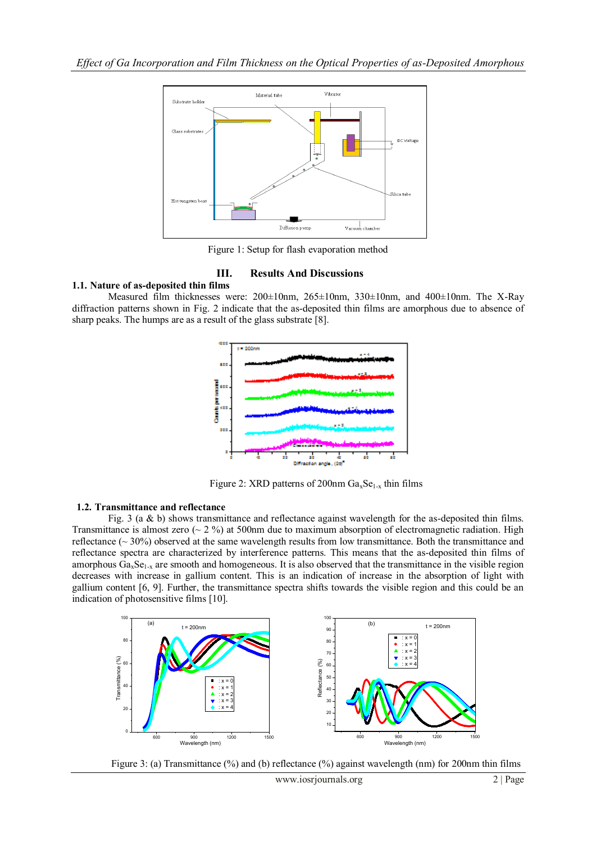

Figure 1: Setup for flash evaporation method

# **III. Results And Discussions**

# **1.1. Nature of as-deposited thin films**

Measured film thicknesses were: 200±10nm, 265±10nm, 330±10nm, and 400±10nm. The X-Ray diffraction patterns shown in Fig. 2 indicate that the as-deposited thin films are amorphous due to absence of sharp peaks. The humps are as a result of the glass substrate [8].



Figure 2: XRD patterns of 200nm  $Ga_xSe_{1-x}$  thin films

# **1.2. Transmittance and reflectance**

Fig. 3 (a & b) shows transmittance and reflectance against wavelength for the as-deposited thin films. Transmittance is almost zero  $\left(\sim 2\% \right)$  at 500nm due to maximum absorption of electromagnetic radiation. High reflectance  $\sim$  30%) observed at the same wavelength results from low transmittance. Both the transmittance and reflectance spectra are characterized by interference patterns. This means that the as-deposited thin films of amorphous  $Ga_3Se_{1-x}$  are smooth and homogeneous. It is also observed that the transmittance in the visible region decreases with increase in gallium content. This is an indication of increase in the absorption of light with gallium content [6, 9]. Further, the transmittance spectra shifts towards the visible region and this could be an indication of photosensitive films [10].



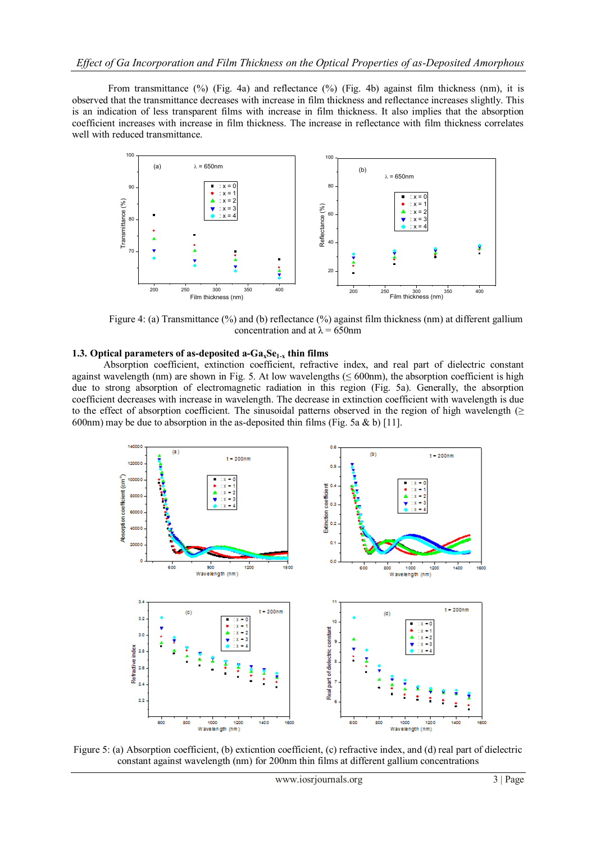From transmittance (%) (Fig. 4a) and reflectance (%) (Fig. 4b) against film thickness (nm), it is observed that the transmittance decreases with increase in film thickness and reflectance increases slightly. This is an indication of less transparent films with increase in film thickness. It also implies that the absorption coefficient increases with increase in film thickness. The increase in reflectance with film thickness correlates well with reduced transmittance.



Figure 4: (a) Transmittance (%) and (b) reflectance (%) against film thickness (nm) at different gallium concentration and at  $\lambda$  = 650nm

#### **1.3. Optical parameters of as-deposited a-GaxSe1-x thin films**

Absorption coefficient, extinction coefficient, refractive index, and real part of dielectric constant against wavelength (nm) are shown in Fig. 5. At low wavelengths ( $\leq 600$ nm), the absorption coefficient is high due to strong absorption of electromagnetic radiation in this region (Fig. 5a). Generally, the absorption coefficient decreases with increase in wavelength. The decrease in extinction coefficient with wavelength is due to the effect of absorption coefficient. The sinusoidal patterns observed in the region of high wavelength ( $\geq$ 600nm) may be due to absorption in the as-deposited thin films (Fig. 5a & b) [11].



Figure 5: (a) Absorption coefficient, (b) exticntion coefficient, (c) refractive index, and (d) real part of dielectric constant against wavelength (nm) for 200nm thin films at different gallium concentrations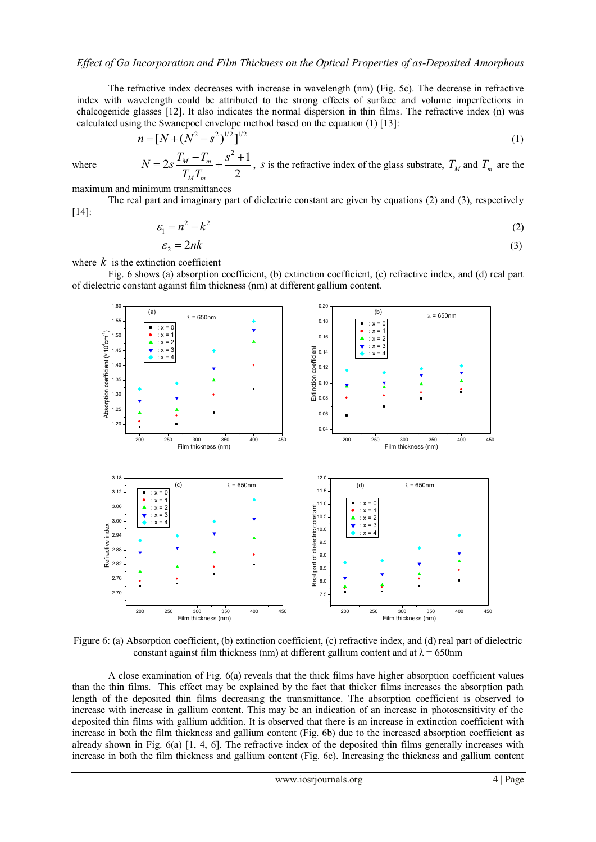The refractive index decreases with increase in wavelength (nm) (Fig. 5c). The decrease in refractive index with wavelength could be attributed to the strong effects of surface and volume imperfections in chalcogenide glasses [12]. It also indicates the normal dispersion in thin films. The refractive index (n) was calculated using the Swanepoel envelope method based on the equation (1) [13]:

$$
n = [N + (N^2 - s^2)^{1/2}]^{1/2}
$$
\n
$$
T = T - s^2 + 1
$$
\n(1)

where

$$
N = 2s \frac{T_M - T_m}{T_M T_m} + \frac{s^2 + 1}{2}
$$
, *s* is the refractive index of the glass substrate,  $T_M$  and  $T_m$  are the

maximum and minimum transmittances

The real part and imaginary part of dielectric constant are given by equations (2) and (3), respectively [14]:

$$
\varepsilon_1 = n^2 - k^2 \tag{2}
$$

$$
\varepsilon_2 = 2nk \tag{3}
$$

where  $k$  is the extinction coefficient

Fig. 6 shows (a) absorption coefficient, (b) extinction coefficient, (c) refractive index, and (d) real part of dielectric constant against film thickness (nm) at different gallium content.



Figure 6: (a) Absorption coefficient, (b) extinction coefficient, (c) refractive index, and (d) real part of dielectric constant against film thickness (nm) at different gallium content and at  $\lambda = 650$ nm

A close examination of Fig. 6(a) reveals that the thick films have higher absorption coefficient values than the thin films. This effect may be explained by the fact that thicker films increases the absorption path length of the deposited thin films decreasing the transmittance. The absorption coefficient is observed to increase with increase in gallium content. This may be an indication of an increase in photosensitivity of the deposited thin films with gallium addition. It is observed that there is an increase in extinction coefficient with increase in both the film thickness and gallium content (Fig. 6b) due to the increased absorption coefficient as already shown in Fig. 6(a) [1, 4, 6]. The refractive index of the deposited thin films generally increases with increase in both the film thickness and gallium content (Fig. 6c). Increasing the thickness and gallium content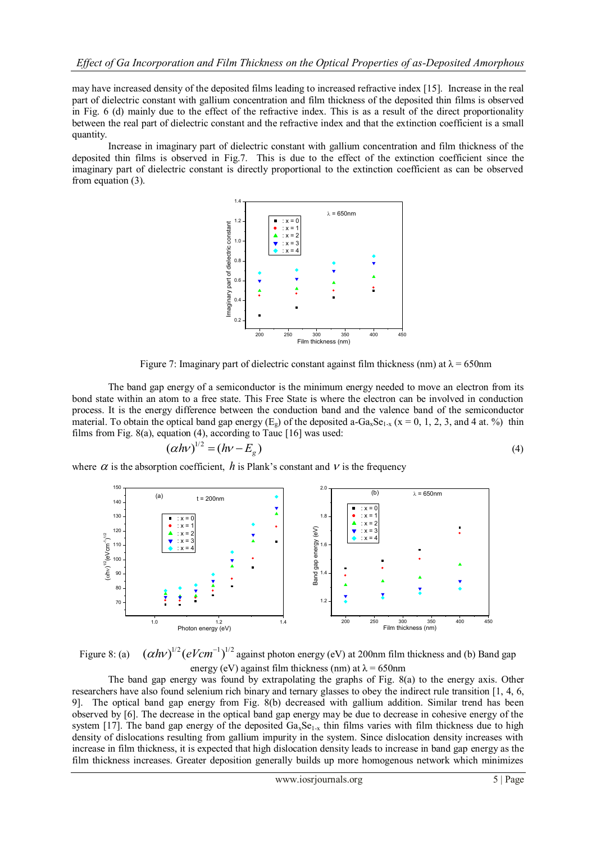may have increased density of the deposited films leading to increased refractive index [15]. Increase in the real part of dielectric constant with gallium concentration and film thickness of the deposited thin films is observed in Fig. 6 (d) mainly due to the effect of the refractive index. This is as a result of the direct proportionality between the real part of dielectric constant and the refractive index and that the extinction coefficient is a small quantity.

Increase in imaginary part of dielectric constant with gallium concentration and film thickness of the deposited thin films is observed in Fig.7. This is due to the effect of the extinction coefficient since the imaginary part of dielectric constant is directly proportional to the extinction coefficient as can be observed from equation (3).



Figure 7: Imaginary part of dielectric constant against film thickness (nm) at  $\lambda = 650$ nm

The band gap energy of a semiconductor is the minimum energy needed to move an electron from its bond state within an atom to a free state. This Free State is where the electron can be involved in conduction process. It is the energy difference between the conduction band and the valence band of the semiconductor material. To obtain the optical band gap energy (E<sub>g</sub>) of the deposited a-Ga<sub>x</sub>Se<sub>1-x</sub> (x = 0, 1, 2, 3, and 4 at. %) thin films from Fig. 8(a), equation (4), according to Tauc [16] was used:

$$
(\alpha h\nu)^{1/2} = (h\nu - E_g) \tag{4}
$$

where  $\alpha$  is the absorption coefficient,  $h$  is Plank's constant and  $\nu$  is the frequency



Figure 8: (a)  $(\alpha h v)^{1/2} (eVcm^{-1})^{1/2}$  against photon energy (eV) at 200nm film thickness and (b) Band gap energy (eV) against film thickness (nm) at  $\lambda$  = 650nm

The band gap energy was found by extrapolating the graphs of Fig. 8(a) to the energy axis. Other researchers have also found selenium rich binary and ternary glasses to obey the indirect rule transition [1, 4, 6, 9]. The optical band gap energy from Fig. 8(b) decreased with gallium addition. Similar trend has been observed by [6]. The decrease in the optical band gap energy may be due to decrease in cohesive energy of the system [17]. The band gap energy of the deposited  $Ga_xSe_{1-x}$  thin films varies with film thickness due to high density of dislocations resulting from gallium impurity in the system. Since dislocation density increases with increase in film thickness, it is expected that high dislocation density leads to increase in band gap energy as the film thickness increases. Greater deposition generally builds up more homogenous network which minimizes